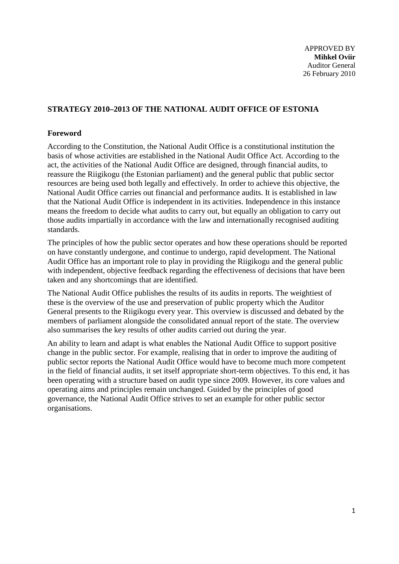# **STRATEGY 2010–2013 OF THE NATIONAL AUDIT OFFICE OF ESTONIA**

#### **Foreword**

According to the Constitution, the National Audit Office is a constitutional institution the basis of whose activities are established in the National Audit Office Act. According to the act, the activities of the National Audit Office are designed, through financial audits, to reassure the Riigikogu (the Estonian parliament) and the general public that public sector resources are being used both legally and effectively. In order to achieve this objective, the National Audit Office carries out financial and performance audits. It is established in law that the National Audit Office is independent in its activities. Independence in this instance means the freedom to decide what audits to carry out, but equally an obligation to carry out those audits impartially in accordance with the law and internationally recognised auditing standards.

The principles of how the public sector operates and how these operations should be reported on have constantly undergone, and continue to undergo, rapid development. The National Audit Office has an important role to play in providing the Riigikogu and the general public with independent, objective feedback regarding the effectiveness of decisions that have been taken and any shortcomings that are identified.

The National Audit Office publishes the results of its audits in reports. The weightiest of these is the overview of the use and preservation of public property which the Auditor General presents to the Riigikogu every year. This overview is discussed and debated by the members of parliament alongside the consolidated annual report of the state. The overview also summarises the key results of other audits carried out during the year.

An ability to learn and adapt is what enables the National Audit Office to support positive change in the public sector. For example, realising that in order to improve the auditing of public sector reports the National Audit Office would have to become much more competent in the field of financial audits, it set itself appropriate short-term objectives. To this end, it has been operating with a structure based on audit type since 2009. However, its core values and operating aims and principles remain unchanged. Guided by the principles of good governance, the National Audit Office strives to set an example for other public sector organisations.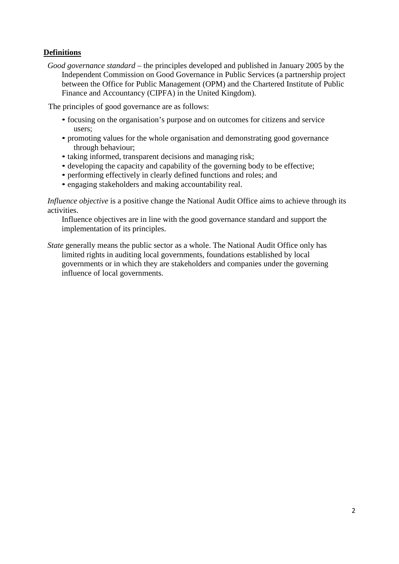# **Definitions**

*Good governance standard* – the principles developed and published in January 2005 by the Independent Commission on Good Governance in Public Services (a partnership project between the Office for Public Management (OPM) and the Chartered Institute of Public Finance and Accountancy (CIPFA) in the United Kingdom).

The principles of good governance are as follows:

- focusing on the organisation's purpose and on outcomes for citizens and service users;
- promoting values for the whole organisation and demonstrating good governance through behaviour;
- taking informed, transparent decisions and managing risk;
- developing the capacity and capability of the governing body to be effective;
- performing effectively in clearly defined functions and roles; and
- engaging stakeholders and making accountability real.

*Influence objective* is a positive change the National Audit Office aims to achieve through its activities.

Influence objectives are in line with the good governance standard and support the implementation of its principles.

*State* generally means the public sector as a whole. The National Audit Office only has limited rights in auditing local governments, foundations established by local governments or in which they are stakeholders and companies under the governing influence of local governments.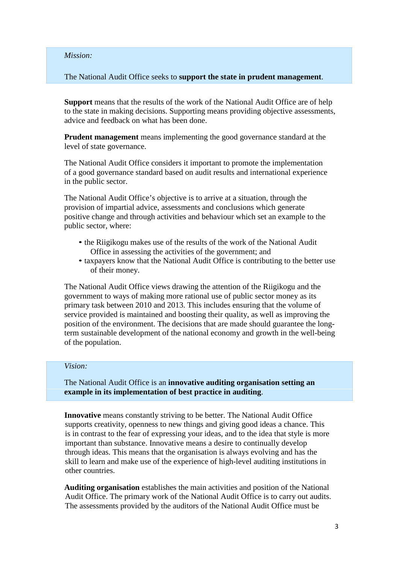#### *Mission:*

The National Audit Office seeks to **support the state in prudent management**.

**Support** means that the results of the work of the National Audit Office are of help to the state in making decisions. Supporting means providing objective assessments, advice and feedback on what has been done.

**Prudent management** means implementing the good governance standard at the level of state governance.

The National Audit Office considers it important to promote the implementation of a good governance standard based on audit results and international experience in the public sector.

The National Audit Office's objective is to arrive at a situation, through the provision of impartial advice, assessments and conclusions which generate positive change and through activities and behaviour which set an example to the public sector, where:

- the Riigikogu makes use of the results of the work of the National Audit Office in assessing the activities of the government; and
- taxpayers know that the National Audit Office is contributing to the better use of their money.

The National Audit Office views drawing the attention of the Riigikogu and the government to ways of making more rational use of public sector money as its primary task between 2010 and 2013. This includes ensuring that the volume of service provided is maintained and boosting their quality, as well as improving the position of the environment. The decisions that are made should guarantee the longterm sustainable development of the national economy and growth in the well-being of the population.

#### *Vision:*

The National Audit Office is an **innovative auditing organisation setting an example in its implementation of best practice in auditing**.

**Innovative** means constantly striving to be better. The National Audit Office supports creativity, openness to new things and giving good ideas a chance. This is in contrast to the fear of expressing your ideas, and to the idea that style is more important than substance. Innovative means a desire to continually develop through ideas. This means that the organisation is always evolving and has the skill to learn and make use of the experience of high-level auditing institutions in other countries.

**Auditing organisation** establishes the main activities and position of the National Audit Office. The primary work of the National Audit Office is to carry out audits. The assessments provided by the auditors of the National Audit Office must be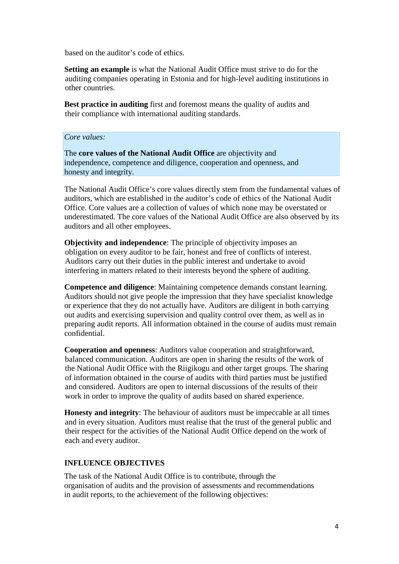based on the auditor's code of ethics.

**Setting an example** is what the National Audit Office must strive to do for the auditing companies operating in Estonia and for high-level auditing institutions in other countries.

**Best practice in auditing** first and foremost means the quality of audits and their compliance with international auditing standards.

#### *Core values:*

The **core values of the National Audit Office** are objectivity and independence, competence and diligence, cooperation and openness, and honesty and integrity.

The National Audit Office's core values directly stem from the fundamental values of auditors, which are established in the auditor's code of ethics of the National Audit Office. Core values are a collection of values of which none may be overstated or underestimated. The core values of the National Audit Office are also observed by its auditors and all other employees.

**Objectivity and independence**: The principle of objectivity imposes an obligation on every auditor to be fair, honest and free of conflicts of interest. Auditors carry out their duties in the public interest and undertake to avoid interfering in matters related to their interests beyond the sphere of auditing.

**Competence and diligence**: Maintaining competence demands constant learning. Auditors should not give people the impression that they have specialist knowledge or experience that they do not actually have. Auditors are diligent in both carrying out audits and exercising supervision and quality control over them, as well as in preparing audit reports. All information obtained in the course of audits must remain confidential.

**Cooperation and openness**: Auditors value cooperation and straightforward, balanced communication. Auditors are open in sharing the results of the work of the National Audit Office with the Riigikogu and other target groups. The sharing of information obtained in the course of audits with third parties must be justified and considered. Auditors are open to internal discussions of the results of their work in order to improve the quality of audits based on shared experience.

**Honesty and integrity**: The behaviour of auditors must be impeccable at all times and in every situation. Auditors must realise that the trust of the general public and their respect for the activities of the National Audit Office depend on the work of each and every auditor.

#### **INFLUENCE OBJECTIVES**

The task of the National Audit Office is to contribute, through the organisation of audits and the provision of assessments and recommendations in audit reports, to the achievement of the following objectives: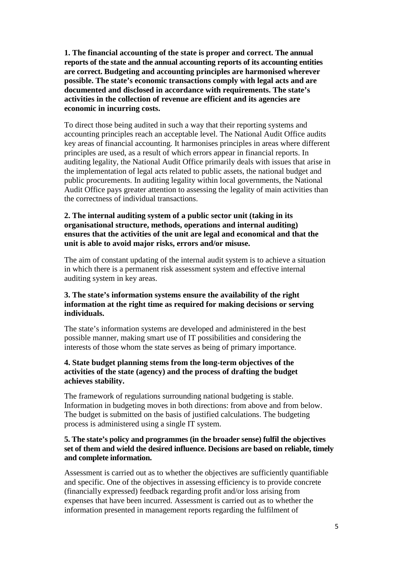**1. The financial accounting of the state is proper and correct. The annual reports of the state and the annual accounting reports of its accounting entities are correct. Budgeting and accounting principles are harmonised wherever possible. The state's economic transactions comply with legal acts and are documented and disclosed in accordance with requirements. The state's activities in the collection of revenue are efficient and its agencies are economic in incurring costs.**

To direct those being audited in such a way that their reporting systems and accounting principles reach an acceptable level. The National Audit Office audits key areas of financial accounting. It harmonises principles in areas where different principles are used, as a result of which errors appear in financial reports. In auditing legality, the National Audit Office primarily deals with issues that arise in the implementation of legal acts related to public assets, the national budget and public procurements. In auditing legality within local governments, the National Audit Office pays greater attention to assessing the legality of main activities than the correctness of individual transactions.

#### **2. The internal auditing system of a public sector unit (taking in its organisational structure, methods, operations and internal auditing) ensures that the activities of the unit are legal and economical and that the unit is able to avoid major risks, errors and/or misuse.**

The aim of constant updating of the internal audit system is to achieve a situation in which there is a permanent risk assessment system and effective internal auditing system in key areas.

### **3. The state's information systems ensure the availability of the right information at the right time as required for making decisions or serving individuals.**

The state's information systems are developed and administered in the best possible manner, making smart use of IT possibilities and considering the interests of those whom the state serves as being of primary importance.

### **4. State budget planning stems from the long-term objectives of the activities of the state (agency) and the process of drafting the budget achieves stability.**

The framework of regulations surrounding national budgeting is stable. Information in budgeting moves in both directions: from above and from below. The budget is submitted on the basis of justified calculations. The budgeting process is administered using a single IT system.

### **5. The state's policy and programmes (in the broader sense) fulfil the objectives set of them and wield the desired influence. Decisions are based on reliable, timely and complete information.**

Assessment is carried out as to whether the objectives are sufficiently quantifiable and specific. One of the objectives in assessing efficiency is to provide concrete (financially expressed) feedback regarding profit and/or loss arising from expenses that have been incurred. Assessment is carried out as to whether the information presented in management reports regarding the fulfilment of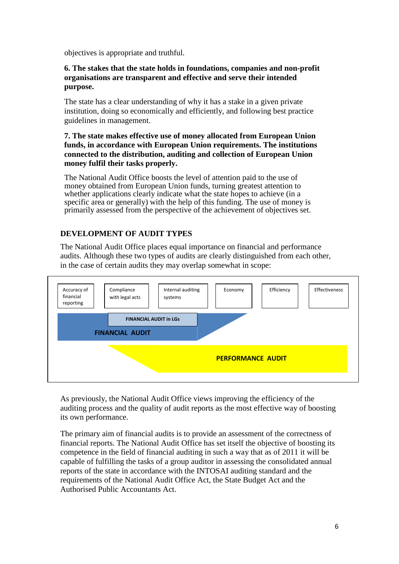objectives is appropriate and truthful.

#### **6. The stakes that the state holds in foundations, companies and non-profit organisations are transparent and effective and serve their intended purpose.**

The state has a clear understanding of why it has a stake in a given private institution, doing so economically and efficiently, and following best practice guidelines in management.

#### **7. The state makes effective use of money allocated from European Union funds, in accordance with European Union requirements. The institutions connected to the distribution, auditing and collection of European Union money fulfil their tasks properly.**

The National Audit Office boosts the level of attention paid to the use of money obtained from European Union funds, turning greatest attention to whether applications clearly indicate what the state hopes to achieve (in a specific area or generally) with the help of this funding. The use of money is primarily assessed from the perspective of the achievement of objectives set.

## **DEVELOPMENT OF AUDIT TYPES**

The National Audit Office places equal importance on financial and performance audits. Although these two types of audits are clearly distinguished from each other, in the case of certain audits they may overlap somewhat in scope:



As previously, the National Audit Office views improving the efficiency of the auditing process and the quality of audit reports as the most effective way of boosting its own performance.

The primary aim of financial audits is to provide an assessment of the correctness of financial reports. The National Audit Office has set itself the objective of boosting its competence in the field of financial auditing in such a way that as of 2011 it will be capable of fulfilling the tasks of a group auditor in assessing the consolidated annual reports of the state in accordance with the INTOSAI auditing standard and the requirements of the National Audit Office Act, the State Budget Act and the Authorised Public Accountants Act.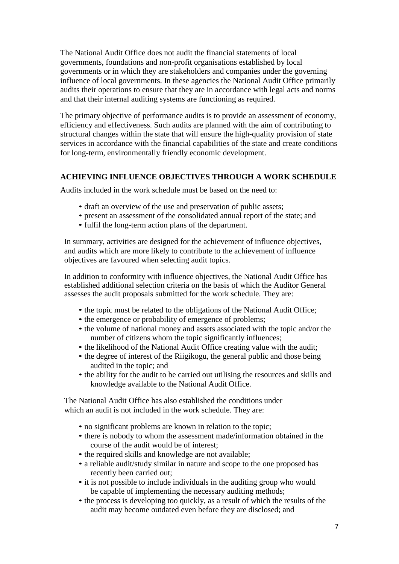The National Audit Office does not audit the financial statements of local governments, foundations and non-profit organisations established by local governments or in which they are stakeholders and companies under the governing influence of local governments. In these agencies the National Audit Office primarily audits their operations to ensure that they are in accordance with legal acts and norms and that their internal auditing systems are functioning as required.

The primary objective of performance audits is to provide an assessment of economy, efficiency and effectiveness. Such audits are planned with the aim of contributing to structural changes within the state that will ensure the high-quality provision of state services in accordance with the financial capabilities of the state and create conditions for long-term, environmentally friendly economic development.

## **ACHIEVING INFLUENCE OBJECTIVES THROUGH A WORK SCHEDULE**

Audits included in the work schedule must be based on the need to:

- draft an overview of the use and preservation of public assets;
- present an assessment of the consolidated annual report of the state; and
- fulfil the long-term action plans of the department.

In summary, activities are designed for the achievement of influence objectives, and audits which are more likely to contribute to the achievement of influence objectives are favoured when selecting audit topics.

In addition to conformity with influence objectives, the National Audit Office has established additional selection criteria on the basis of which the Auditor General assesses the audit proposals submitted for the work schedule. They are:

- the topic must be related to the obligations of the National Audit Office;
- the emergence or probability of emergence of problems;
- the volume of national money and assets associated with the topic and/or the number of citizens whom the topic significantly influences;
- the likelihood of the National Audit Office creating value with the audit;
- the degree of interest of the Riigikogu, the general public and those being audited in the topic; and
- the ability for the audit to be carried out utilising the resources and skills and knowledge available to the National Audit Office.

The National Audit Office has also established the conditions under which an audit is not included in the work schedule. They are:

- no significant problems are known in relation to the topic;
- there is nobody to whom the assessment made/information obtained in the course of the audit would be of interest;
- the required skills and knowledge are not available;
- a reliable audit/study similar in nature and scope to the one proposed has recently been carried out;
- it is not possible to include individuals in the auditing group who would be capable of implementing the necessary auditing methods;
- the process is developing too quickly, as a result of which the results of the audit may become outdated even before they are disclosed; and